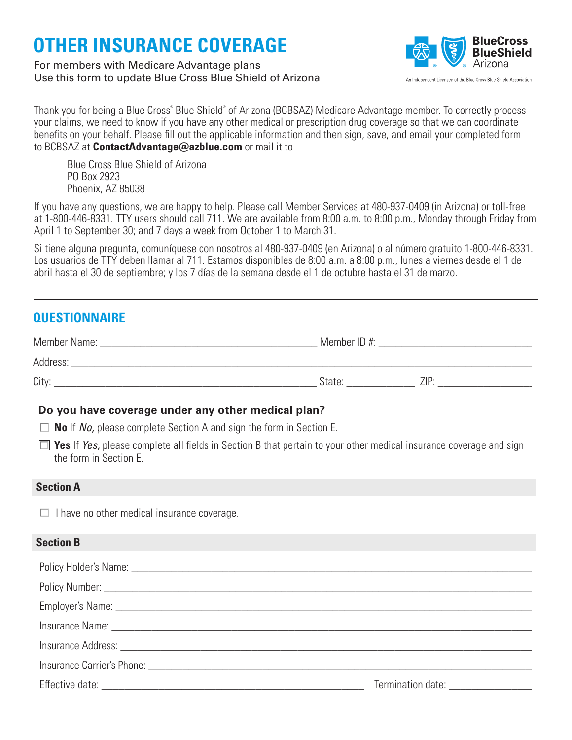# **OTHER INSURANCE COVERAGE**

## For members with Medicare Advantage plans Use this form to update Blue Cross Blue Shield of Arizona



Thank you for being a Blue Cross® Blue Shield® of Arizona (BCBSAZ) Medicare Advantage member. To correctly process your claims, we need to know if you have any other medical or prescription drug coverage so that we can coordinate benefits on your behalf. Please fill out the applicable information and then sign, save, and email your completed form to BCBSAZ at **ContactAdvantage@azblue.com** or mail it to

Blue Cross Blue Shield of Arizona PO Box 2923 Phoenix, AZ 85038

If you have any questions, we are happy to help. Please call Member Services at 480-937-0409 (in Arizona) or toll-free at 1-800-446-8331. TTY users should call 711. We are available from 8:00 a.m. to 8:00 p.m., Monday through Friday from April 1 to September 30; and 7 days a week from October 1 to March 31.

Si tiene alguna pregunta, comuníquese con nosotros al 480-937-0409 (en Arizona) o al número gratuito 1-800-446-8331. Los usuarios de TTY deben llamar al 711. Estamos disponibles de 8:00 a.m. a 8:00 p.m., lunes a viernes desde el 1 de abril hasta el 30 de septiembre; y los 7 días de la semana desde el 1 de octubre hasta el 31 de marzo.

# **QUESTIONNAIRE**

| Member Name: | Member ID#: |      |
|--------------|-------------|------|
| Address:     |             |      |
| City:        | State:      | 71P· |

# **Do you have coverage under any other medical plan?**

- **No** If *No,* please complete Section A and sign the form in Section E.
- **T** Yes If *Yes*, please complete all fields in Section B that pertain to your other medical insurance coverage and sign the form in Section E.

### **Section A**

 $\Box$  I have no other medical insurance coverage.

### **Section B**

| Insurance Carrier's Phone: <i>Carrier's Phone</i> : |                                                                                                                                                                                                                                |
|-----------------------------------------------------|--------------------------------------------------------------------------------------------------------------------------------------------------------------------------------------------------------------------------------|
|                                                     | Termination date: The control of the control of the control of the control of the control of the control of the control of the control of the control of the control of the control of the control of the control of the contr |